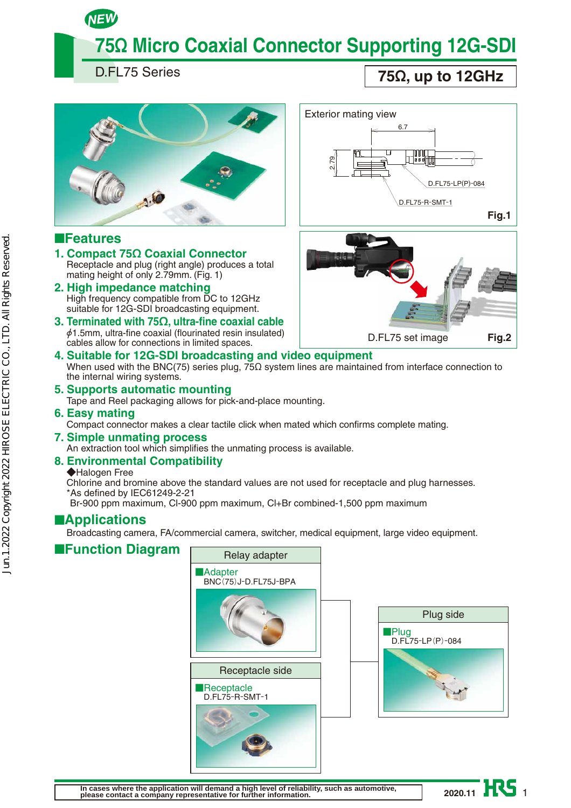# **75Ω Micro Coaxial Connector Supporting 12G-SDI**

D.FL75 Series

NEW

**75Ω, up to 12GHz**



### ■**Features**

- **1. Compact 75Ω Coaxial Connector** Receptacle and plug (right angle) produces a total mating height of only 2.79mm. (Fig. 1)
- **2. High impedance matching**  High frequency compatible from DC to 12GHz suitable for 12G-SDI broadcasting equipment.
- **3. Terminated with 75Ω, ultra-fine coaxial cable**  $\phi$ 1.5mm, ultra-fine coaxial (flourinated resin insulated) cables allow for connections in limited spaces.





#### **4. Suitable for 12G-SDI broadcasting and video equipment** When used with the BNC(75) series plug, 75Ω system lines are maintained from interface connection to the internal wiring systems.

**5. Supports automatic mounting** Tape and Reel packaging allows for pick-and-place mounting.

### **6. Easy mating**

- Compact connector makes a clear tactile click when mated which confirms complete mating.
- **7. Simple unmating process** An extraction tool which simplifies the unmating process is available.

#### **8. Environmental Compatibility**

#### ◆Halogen Free

Chlorine and bromine above the standard values are not used for receptacle and plug harnesses. \*As defined by IEC61249-2-21

Br-900 ppm maximum, Cl-900 ppm maximum, Cl+Br combined-1,500 ppm maximum

### ■**Applications**

Broadcasting camera, FA/commercial camera, switcher, medical equipment, large video equipment.

### ■**Function Diagram**





2020.11 H<sub>S</sub>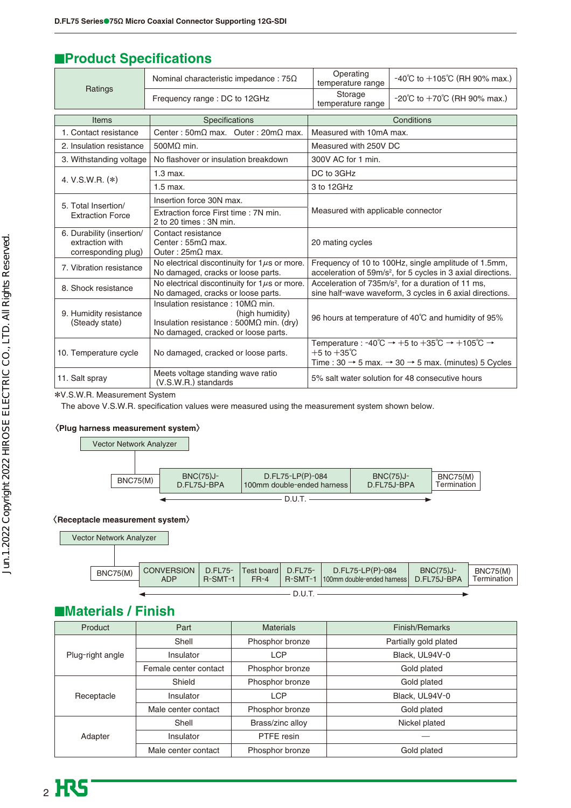### **EProduct Specifications**

|                                                                     | Nominal characteristic impedance : $75\Omega$                                                                                                        | Operating<br>temperature range                                                                                                   | $-40^{\circ}$ C to $+105^{\circ}$ C (RH 90% max.)                                                                                                                        |
|---------------------------------------------------------------------|------------------------------------------------------------------------------------------------------------------------------------------------------|----------------------------------------------------------------------------------------------------------------------------------|--------------------------------------------------------------------------------------------------------------------------------------------------------------------------|
| Ratings                                                             | Frequency range: DC to 12GHz                                                                                                                         | Storage<br>$-20^{\circ}$ C to $+70^{\circ}$ C (RH 90% max.)<br>temperature range                                                 |                                                                                                                                                                          |
| Items                                                               | Specifications                                                                                                                                       |                                                                                                                                  | Conditions                                                                                                                                                               |
| 1. Contact resistance                                               | Center: $50 \text{m}\Omega$ max. Outer: $20 \text{m}\Omega$ max.                                                                                     | Measured with 10mA max.                                                                                                          |                                                                                                                                                                          |
| 2. Insulation resistance                                            | $500M2$ min.                                                                                                                                         | Measured with 250V DC                                                                                                            |                                                                                                                                                                          |
| 3. Withstanding voltage                                             | No flashover or insulation breakdown                                                                                                                 | 300V AC for 1 min.                                                                                                               |                                                                                                                                                                          |
|                                                                     | $1.3$ max.                                                                                                                                           | DC to 3GHz                                                                                                                       |                                                                                                                                                                          |
| 4. V.S.W.R. (*)                                                     | $1.5$ max.                                                                                                                                           | 3 to 12GHz                                                                                                                       |                                                                                                                                                                          |
| 5. Total Insertion/                                                 | Insertion force 30N max.                                                                                                                             | Measured with applicable connector                                                                                               |                                                                                                                                                                          |
| <b>Extraction Force</b>                                             | Extraction force First time : 7N min.<br>2 to 20 times : 3N min.                                                                                     |                                                                                                                                  |                                                                                                                                                                          |
| 6. Durability (insertion/<br>extraction with<br>corresponding plug) | Contact resistance<br>Center: $55m\Omega$ max.<br>Outer: $25m\Omega$ max.                                                                            | 20 mating cycles                                                                                                                 |                                                                                                                                                                          |
| 7. Vibration resistance                                             | No electrical discontinuity for $1\mu s$ or more.<br>No damaged, cracks or loose parts.                                                              | Frequency of 10 to 100Hz, single amplitude of 1.5mm,<br>acceleration of 59m/s <sup>2</sup> , for 5 cycles in 3 axial directions. |                                                                                                                                                                          |
| 8. Shock resistance                                                 | No electrical discontinuity for $1\mu s$ or more.<br>No damaged, cracks or loose parts.                                                              | Acceleration of 735m/s <sup>2</sup> , for a duration of 11 ms,<br>sine half-wave waveform, 3 cycles in 6 axial directions.       |                                                                                                                                                                          |
| 9. Humidity resistance<br>(Steady state)                            | Insulation resistance: $10M\Omega$ min.<br>(high humidity)<br>Insulation resistance : $500M\Omega$ min. (dry)<br>No damaged, cracked or loose parts. | 96 hours at temperature of 40°C and humidity of 95%                                                                              |                                                                                                                                                                          |
| 10. Temperature cycle                                               | No damaged, cracked or loose parts.                                                                                                                  | $+5$ to $+35^{\circ}$ C                                                                                                          | Temperature : -40°C $\rightarrow$ +5 to +35°C $\rightarrow$ +105°C $\rightarrow$<br>Time: $30 \rightarrow 5$ max. $\rightarrow 30 \rightarrow 5$ max. (minutes) 5 Cycles |
| 11. Salt spray                                                      | Meets voltage standing wave ratio<br>(V.S.W.R.) standards                                                                                            |                                                                                                                                  | 5% salt water solution for 48 consecutive hours                                                                                                                          |

\*V.S.W.R. Measurement System

The above V.S.W.R. specification values were measured using the measurement system shown below.

#### 〈**Plug harness measurement system**〉



#### 〈**Receptacle measurement system**〉



| <b>BNC75(M)</b> | CONVERSION   D.FL75-   Test board   D.FL75-<br><b>ADP</b> | $R-SMT-1$ | $FR-4$ | D.FL75-LP(P)-084<br>R-SMT-1 100mm double-ended harness D.FL75J-BPA | <b>BNC(75)J-</b> | <b>BNC75(M)</b><br>Termination |
|-----------------|-----------------------------------------------------------|-----------|--------|--------------------------------------------------------------------|------------------|--------------------------------|
|                 |                                                           |           |        |                                                                    |                  |                                |

### ■**Materials / Finish**

| Product          | Part                  | <b>Materials</b> | Finish/Remarks        |
|------------------|-----------------------|------------------|-----------------------|
| Plug-right angle | Shell                 | Phosphor bronze  | Partially gold plated |
|                  | Insulator             | <b>LCP</b>       | Black, UL94V-0        |
|                  | Female center contact | Phosphor bronze  | Gold plated           |
| Receptacle       | Shield                | Phosphor bronze  | Gold plated           |
|                  | Insulator             | <b>LCP</b>       | Black, UL94V-0        |
|                  | Male center contact   | Phosphor bronze  | Gold plated           |
|                  | Shell                 | Brass/zinc alloy | Nickel plated         |
| Adapter          | Insulator             | PTFE resin       |                       |
|                  | Male center contact   | Phosphor bronze  | Gold plated           |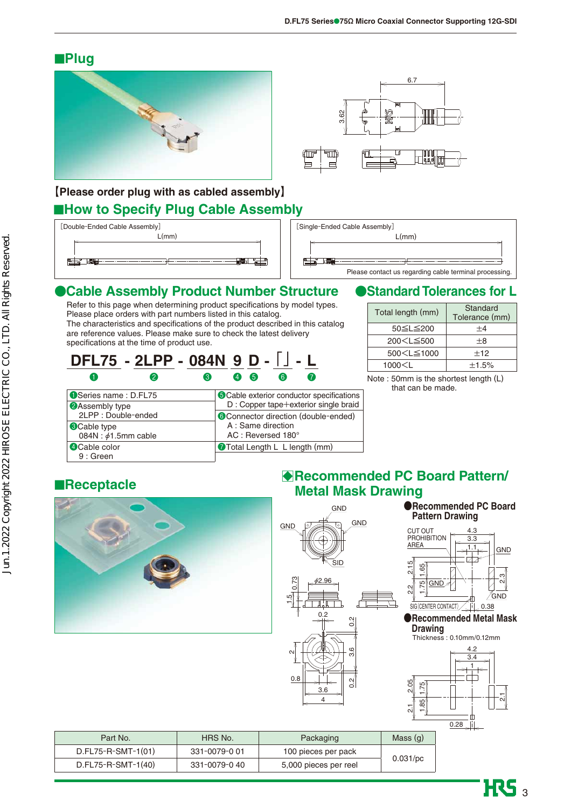### ■**Plug**





### ■**How to Specify Plug Cable Assembly 【Please order plug with as cabled assembly】**

| [Double-Ended Cable Assembly] |
|-------------------------------|
| L/mm                          |
|                               |
|                               |
|                               |
|                               |



### ●**Cable Assembly Product Number Structure**

Refer to this page when determining product specifications by model types. Please place orders with part numbers listed in this catalog. The characteristics and specifications of the product described in this catalog are reference values. Please make sure to check the latest delivery specifications at the time of product use.

$$
\frac{\mathsf{DFL75}}{9} \cdot \frac{\mathsf{2LPP}}{9} \cdot \frac{\mathsf{084N}}{9} \cdot \frac{9}{9} \cdot \frac{\mathsf{D}}{9} \cdot \frac{\mathsf{I}}{9}
$$

| Series name: D.FL75      | <b>O</b> Cable exterior conductor specifications |
|--------------------------|--------------------------------------------------|
| 2 Assembly type          | D : Copper tape+exterior single braid            |
| 2LPP: Double-ended       | Connector direction (double-ended)               |
| <b>Cable type</b>        | A : Same direction                               |
| 084N: $\phi$ 1.5mm cable | AC: Reversed 180°                                |
| 4 Cable color            | Total Length L L length (mm)                     |
| $9:$ Green               |                                                  |

### ●**Standard Tolerances for L**

| Total length (mm)                                      | Standard<br>Tolerance (mm) |
|--------------------------------------------------------|----------------------------|
| 50≤L≤200                                               | $+4$                       |
| 200 <l≦500< td=""><td><math>+8</math></td></l≦500<>    | $+8$                       |
| 500 <l≦1000< td=""><td><math>+12</math></td></l≦1000<> | $+12$                      |
| 1000< L                                                | $\pm$ 1.5%                 |

Note : 50mm is the shortest length (L) that can be made.

### ■**Receptacle**



### B**Recommended PC Board Pattern/ Metal Mask Drawing**





 $\overline{\text{HS}}_3$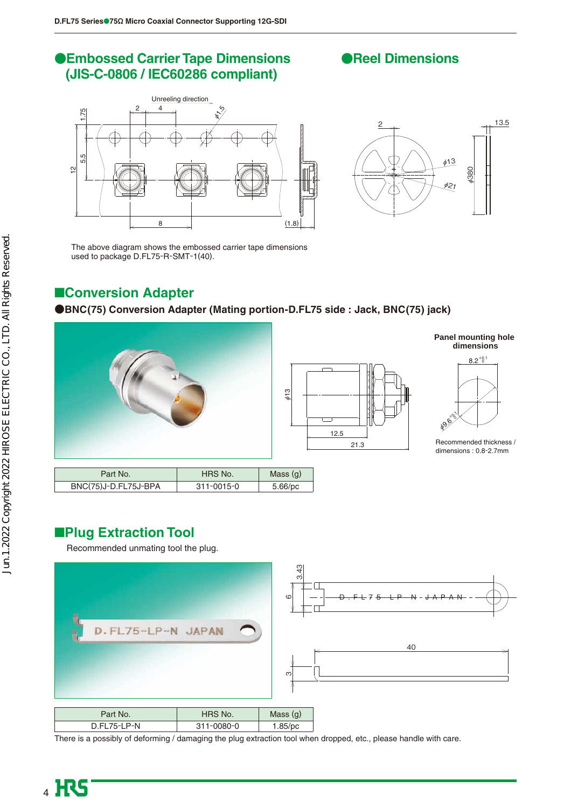### ●**Embossed Carrier Tape Dimensions (JIS-C-0806 / IEC60286 compliant)**

### ●**Reel Dimensions**





The above diagram shows the embossed carrier tape dimensions used to package D.FL75-R-SMT-1(40).

### ■**Conversion Adapter**

#### **●BNC(75) Conversion Adapter (Mating portion-D.FL75 side : Jack, BNC(75) jack)**





#### **Panel mounting hole dimensions**



Recommended thickness / dimensions : 0.8-2.7mm

| Part No.             | HRS No.          | Mass $(q)$ |
|----------------------|------------------|------------|
| BNC(75)J-D.FL75J-BPA | $311 - 0015 - 0$ | $5.66$ /pc |

### ■**Plug Extraction Tool**

Recommended unmating tool the plug.



| Part No.    | HRS No.          | Mass $(q)$ |
|-------------|------------------|------------|
| D.FL75-LP-N | $311 - 0080 - 0$ | $1.85$ /pc |

There is a possibly of deforming / damaging the plug extraction tool when dropped, etc., please handle with care.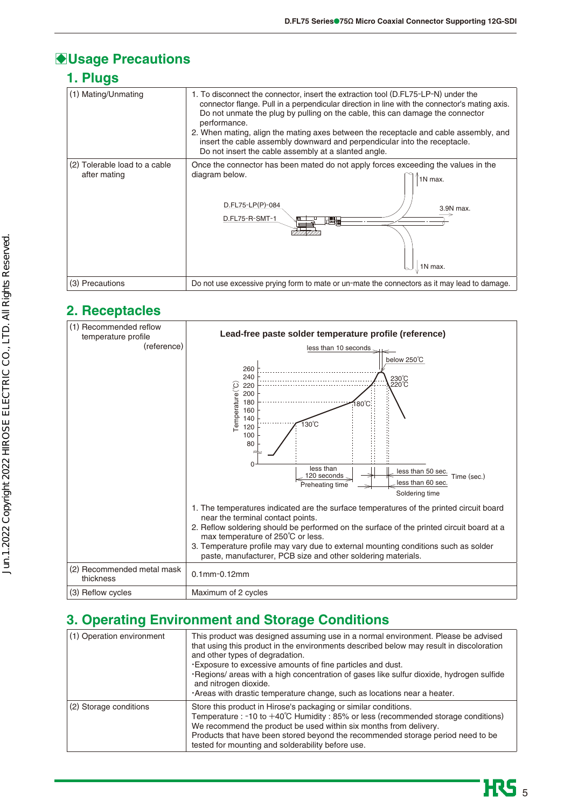### B**Usage Precautions**

### **1. Plugs**

| (1) Mating/Unmating                           | 1. To disconnect the connector, insert the extraction tool (D.FL75-LP-N) under the<br>connector flange. Pull in a perpendicular direction in line with the connector's mating axis.<br>Do not unmate the plug by pulling on the cable, this can damage the connector<br>performance.<br>2. When mating, align the mating axes between the receptacle and cable assembly, and<br>insert the cable assembly downward and perpendicular into the receptacle.<br>Do not insert the cable assembly at a slanted angle. |  |  |  |
|-----------------------------------------------|-------------------------------------------------------------------------------------------------------------------------------------------------------------------------------------------------------------------------------------------------------------------------------------------------------------------------------------------------------------------------------------------------------------------------------------------------------------------------------------------------------------------|--|--|--|
| (2) Tolerable load to a cable<br>after mating | Once the connector has been mated do not apply forces exceeding the values in the<br>diagram below.<br>1N max.<br>D.FL75-LP(P)-084<br>3.9N max.<br>D.FL75-R-SMT-1<br>$\mathbb{H}$ and<br>1N max.                                                                                                                                                                                                                                                                                                                  |  |  |  |
| (3) Precautions                               | Do not use excessive prying form to mate or un-mate the connectors as it may lead to damage.                                                                                                                                                                                                                                                                                                                                                                                                                      |  |  |  |

### **2. Receptacles**

| (1) Recommended reflow<br>temperature profile | Lead-free paste solder temperature profile (reference)                                                                                                                                                                                                                                                                                                                                                              |
|-----------------------------------------------|---------------------------------------------------------------------------------------------------------------------------------------------------------------------------------------------------------------------------------------------------------------------------------------------------------------------------------------------------------------------------------------------------------------------|
| (reference)                                   | less than 10 seconds.                                                                                                                                                                                                                                                                                                                                                                                               |
|                                               | below 250°C<br>260<br>240<br>230°C<br>Temperature <sup>(°C)</sup><br>$220^{\circ}$ C<br>220<br>200<br>180<br>$80^{\circ}$ C<br>160<br>140<br>์ ิ์ 30℃<br>120<br>100<br>80<br>less than<br>less than 50 sec.<br>120 seconds<br>Time (sec.)<br>less than 60 sec.<br>Preheating time<br>Soldering time                                                                                                                 |
|                                               | 1. The temperatures indicated are the surface temperatures of the printed circuit board<br>near the terminal contact points.<br>2. Reflow soldering should be performed on the surface of the printed circuit board at a<br>max temperature of 250°C or less.<br>3. Temperature profile may vary due to external mounting conditions such as solder<br>paste, manufacturer, PCB size and other soldering materials. |
| (2) Recommended metal mask<br>thickness       | $0.1$ mm $-0.12$ mm                                                                                                                                                                                                                                                                                                                                                                                                 |
| (3) Reflow cycles                             | Maximum of 2 cycles                                                                                                                                                                                                                                                                                                                                                                                                 |

### **3. Operating Environment and Storage Conditions**

| (1) Operation environment | This product was designed assuming use in a normal environment. Please be advised<br>that using this product in the environments described below may result in discoloration<br>and other types of degradation.<br>. Exposure to excessive amounts of fine particles and dust.<br>·Regions/ areas with a high concentration of gases like sulfur dioxide, hydrogen sulfide<br>and nitrogen dioxide.<br>Areas with drastic temperature change, such as locations near a heater. |
|---------------------------|--------------------------------------------------------------------------------------------------------------------------------------------------------------------------------------------------------------------------------------------------------------------------------------------------------------------------------------------------------------------------------------------------------------------------------------------------------------------------------|
| (2) Storage conditions    | Store this product in Hirose's packaging or similar conditions.<br>Temperature : -10 to +40°C Humidity : 85% or less (recommended storage conditions)<br>We recommend the product be used within six months from delivery.<br>Products that have been stored beyond the recommended storage period need to be<br>tested for mounting and solderability before use.                                                                                                             |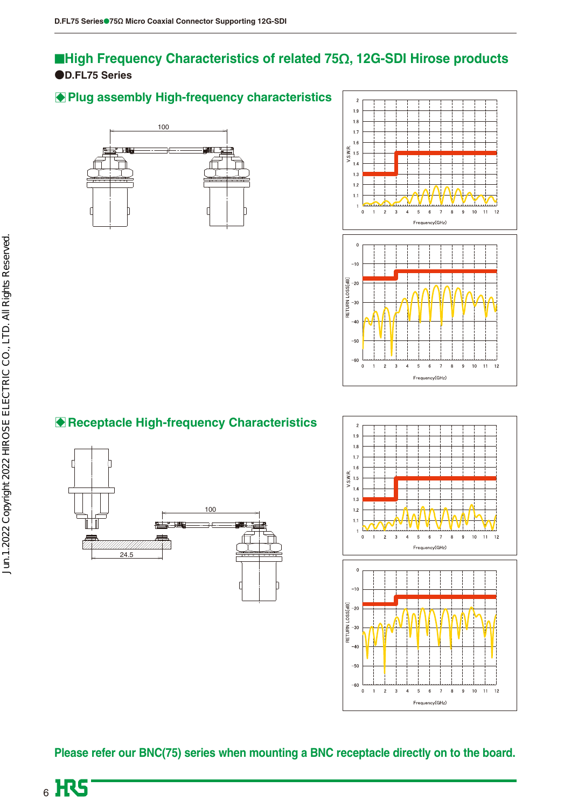### **●D.FL75 Series** ■**High Frequency Characteristics of related 75Ω, 12G-SDI Hirose products**

### **Plug assembly High-frequency characteristics**





### B**Receptacle High-frequency Characteristics**





**Please refer our BNC(75) series when mounting a BNC receptacle directly on to the board.**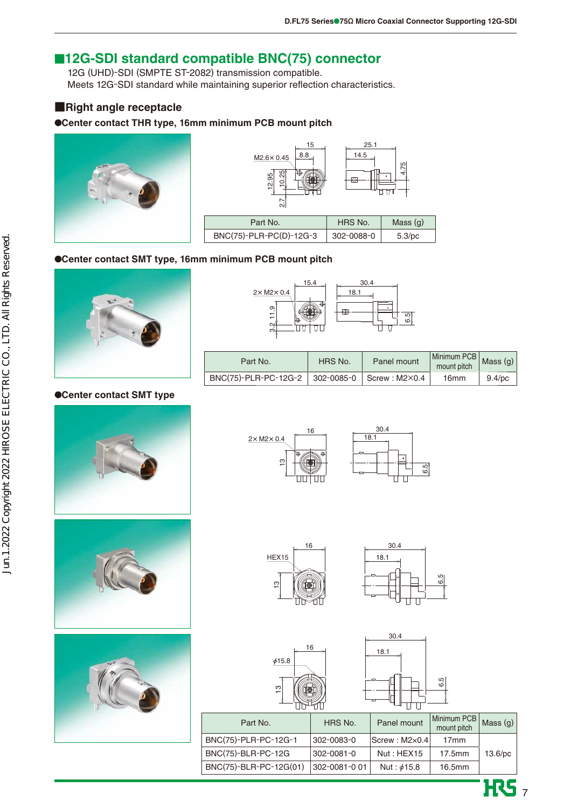### ■**12G-SDI standard compatible BNC(75) connector**

12G (UHD)-SDI (SMPTE ST-2082) transmission compatible. Meets 12G-SDI standard while maintaining superior reflection characteristics.

#### **■Right angle receptacle**

#### ●**Center contact THR type, 16mm minimum PCB mount pitch**





#### ●**Center contact SMT type, 16mm minimum PCB mount pitch**



#### ●**Center contact SMT type**









| Part No.                                           | HRS No. | Panel mount | $\boxed{\text{Minimum }PCB}$ Mass ( $\alpha$ )<br>mount pitch |           |
|----------------------------------------------------|---------|-------------|---------------------------------------------------------------|-----------|
| BNC(75)-PLR-PC-12G-2   302-0085-0   Screw : M2×0.4 |         |             | 16mm                                                          | $9.4$ /pc |













 $\overline{\text{HS}}$ 

| Part No.               | HRS No.       | Panel mount             | Minimum PCB  <br>  mount pitch | Mass $(q)$ |
|------------------------|---------------|-------------------------|--------------------------------|------------|
| BNC(75)-PLR-PC-12G-1   | 302-0083-0    | $ Screw : M2\times0.4 $ | 17 <sub>mm</sub>               |            |
| BNC(75)-BLR-PC-12G     | 302-0081-0    | Nut: HEX15              | $17.5$ mm                      | $13.6$ /pc |
| BNC(75)-BLR-PC-12G(01) | 302-0081-0 01 | Nut: $\phi$ 15.8        | 16.5 <sub>mm</sub>             |            |